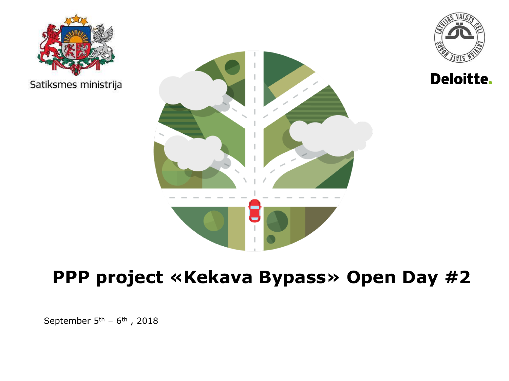

**Deloitte.** 





## **PPP project «Kekava Bypass» Open Day #2**

September  $5<sup>th</sup>$  –  $6<sup>th</sup>$ , 2018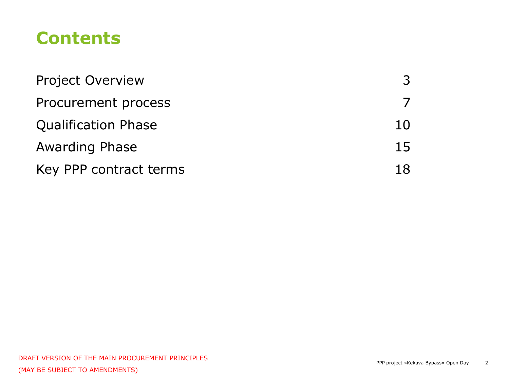### **Contents**

| <b>Project Overview</b>    |    |
|----------------------------|----|
| Procurement process        |    |
| <b>Qualification Phase</b> | 10 |
| <b>Awarding Phase</b>      | 15 |
| Key PPP contract terms     | 18 |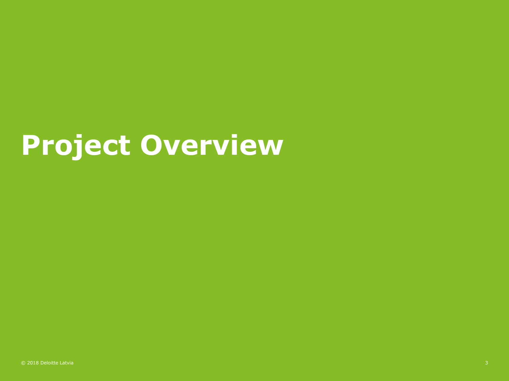# **Project Overview**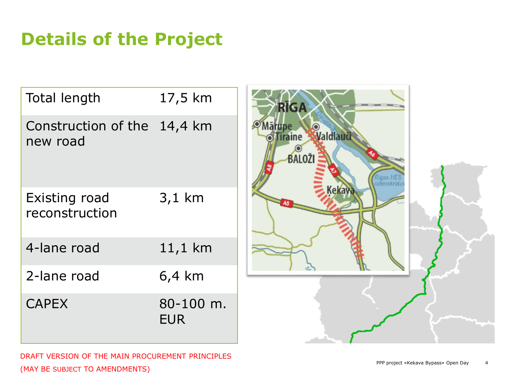## **Details of the Project**

| <b>Total length</b>             | 17,5 km                 |
|---------------------------------|-------------------------|
| Construction of the<br>new road | 14,4 km                 |
| Existing road<br>reconstruction | 3,1 km                  |
| 4-lane road                     | 11,1 km                 |
| 2-lane road                     | 6,4 km                  |
| <b>CAPEX</b>                    | 80-100 m.<br><b>FUR</b> |

DRAFT VERSION OF THE MAIN PROCUREMENT PRINCIPLES (MAY BE SUBJECT TO AMENDMENTS)

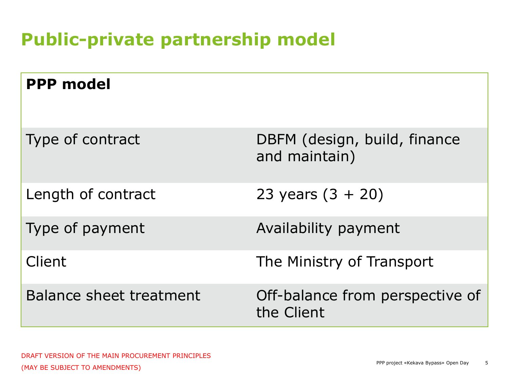## **Public-private partnership model**

| <b>PPP model</b>               |                                               |
|--------------------------------|-----------------------------------------------|
| Type of contract               | DBFM (design, build, finance<br>and maintain) |
| Length of contract             | 23 years $(3 + 20)$                           |
| Type of payment                | Availability payment                          |
| Client                         | The Ministry of Transport                     |
| <b>Balance sheet treatment</b> | Off-balance from perspective of<br>the Client |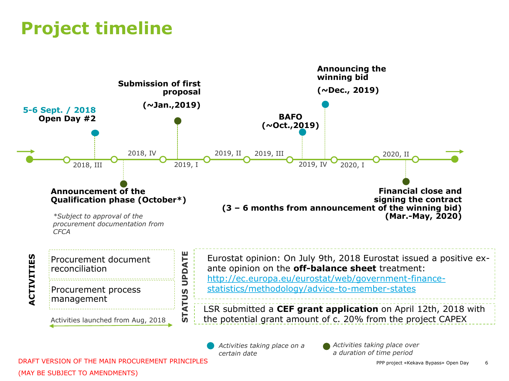## **Project timeline**



*Activities taking place on a certain date*

*Activities taking place over a duration of time period* 

© 2018 Deloitte Latvia PPP project «Kekava Bypass» Open Day 6 DRAFT VERSION OF THE MAIN PROCUREMENT PRINCIPLES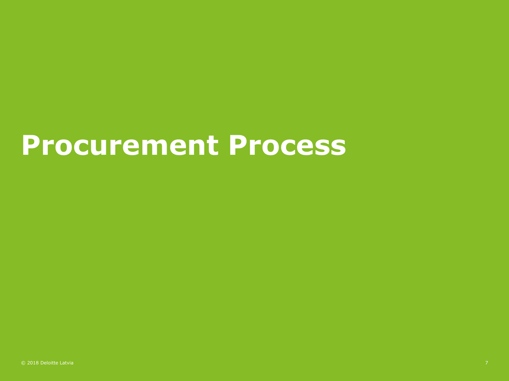# **Procurement Process**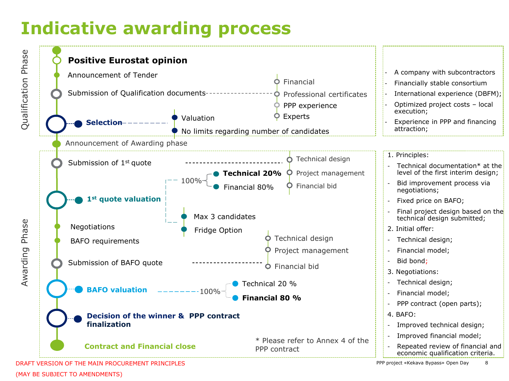## **Indicative awarding process**



(MAY BE SUBJECT TO AMENDMENTS)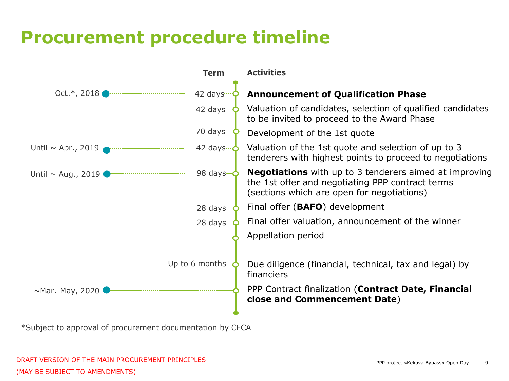## **Procurement procedure timeline**



\*Subject to approval of procurement documentation by CFCA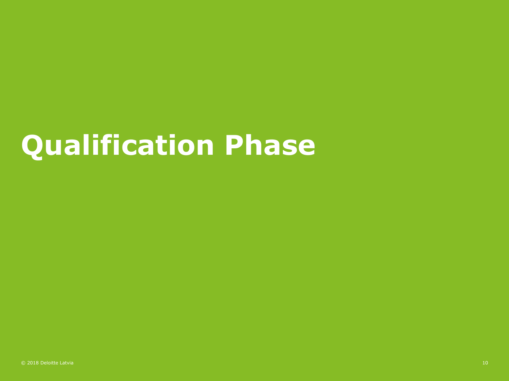# **Qualification Phase**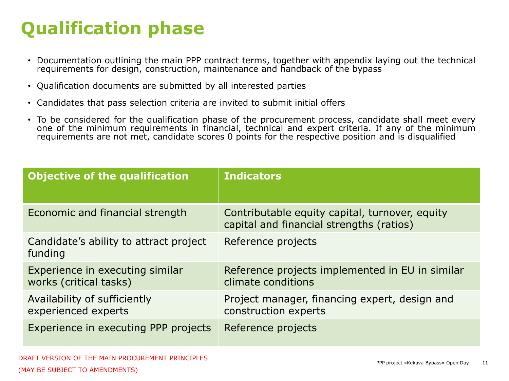## **Qualification phase**

- Documentation outlining the main PPP contract terms, together with appendix laying out the technical requirements for design, construction, maintenance and handback of the bypass
- Qualification documents are submitted by all interested parties
- Candidates that pass selection criteria are invited to submit initial offers
- To be considered for the qualification phase of the procurement process, candidate shall meet every one of the minimum requirements in financial, technical and expert criteria. If any of the minimum requirements are not met, candidate scores 0 points for the respective position and is disqualified

| <b>Objective of the qualification</b>                     | <b>Indicators</b>                                                                          |
|-----------------------------------------------------------|--------------------------------------------------------------------------------------------|
| Economic and financial strength                           | Contributable equity capital, turnover, equity<br>capital and financial strengths (ratios) |
| Candidate's ability to attract project<br>funding         | Reference projects                                                                         |
| Experience in executing similar<br>works (critical tasks) | Reference projects implemented in EU in similar<br>climate conditions                      |
| Availability of sufficiently<br>experienced experts       | Project manager, financing expert, design and<br>construction experts                      |
| Experience in executing PPP projects                      | Reference projects                                                                         |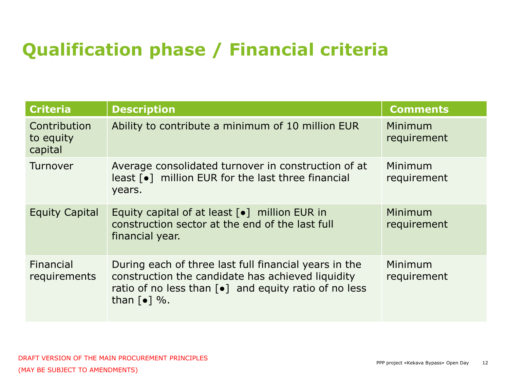## **Qualification phase / Financial criteria**

| <b>Criteria</b>                      | <b>Description</b>                                                                                                                                                                                                         | <b>Comments</b>        |
|--------------------------------------|----------------------------------------------------------------------------------------------------------------------------------------------------------------------------------------------------------------------------|------------------------|
| Contribution<br>to equity<br>capital | Ability to contribute a minimum of 10 million EUR                                                                                                                                                                          | Minimum<br>requirement |
| Turnover                             | Average consolidated turnover in construction of at<br>least [ $\bullet$ ] million EUR for the last three financial<br>years.                                                                                              | Minimum<br>requirement |
| <b>Equity Capital</b>                | Equity capital of at least [ $\bullet$ ] million EUR in<br>construction sector at the end of the last full<br>financial year.                                                                                              | Minimum<br>requirement |
| Financial<br>requirements            | During each of three last full financial years in the<br>construction the candidate has achieved liquidity<br>ratio of no less than $\lceil \bullet \rceil$ and equity ratio of no less<br>than $\lceil \bullet \rceil$ %. | Minimum<br>requirement |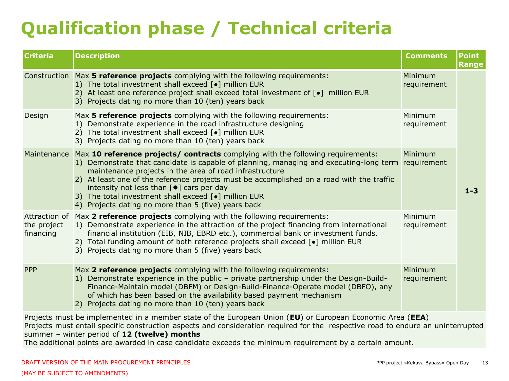## **Qualification phase / Technical criteria**

| <b>Criteria</b>                                                                                           | <b>Description</b>                                                                                                                                                                                                                                                                                                                                                                                                                                                                                             | <b>Comments</b>        | <b>Point</b><br><b>Range</b> |
|-----------------------------------------------------------------------------------------------------------|----------------------------------------------------------------------------------------------------------------------------------------------------------------------------------------------------------------------------------------------------------------------------------------------------------------------------------------------------------------------------------------------------------------------------------------------------------------------------------------------------------------|------------------------|------------------------------|
|                                                                                                           | Construction Max 5 reference projects complying with the following requirements:<br>1) The total investment shall exceed [•] million EUR<br>2) At least one reference project shall exceed total investment of [.] million EUR<br>3) Projects dating no more than 10 (ten) years back                                                                                                                                                                                                                          | Minimum<br>requirement |                              |
| Design                                                                                                    | Max 5 reference projects complying with the following requirements:<br>1) Demonstrate experience in the road infrastructure designing<br>2) The total investment shall exceed [•] million EUR<br>3) Projects dating no more than 10 (ten) years back                                                                                                                                                                                                                                                           | Minimum<br>requirement |                              |
| Maintenance                                                                                               | Max 10 reference projects/ contracts complying with the following requirements:<br>1) Demonstrate that candidate is capable of planning, managing and executing-long term<br>maintenance projects in the area of road infrastructure<br>2) At least one of the reference projects must be accomplished on a road with the traffic<br>intensity not less than $[\bullet]$ cars per day<br>3) The total investment shall exceed [ $\bullet$ ] million EUR<br>4) Projects dating no more than 5 (five) years back | Minimum<br>requirement | $1 - 3$                      |
| Attraction of<br>the project<br>financing                                                                 | Max 2 reference projects complying with the following requirements:<br>1) Demonstrate experience in the attraction of the project financing from international<br>financial institution (EIB, NIB, EBRD etc.), commercial bank or investment funds.<br>2) Total funding amount of both reference projects shall exceed [.] million EUR<br>3) Projects dating no more than 5 (five) years back                                                                                                                  | Minimum<br>requirement |                              |
| <b>PPP</b>                                                                                                | Max 2 reference projects complying with the following requirements:<br>1) Demonstrate experience in the public - private partnership under the Design-Build-<br>Finance-Maintain model (DBFM) or Design-Build-Finance-Operate model (DBFO), any<br>of which has been based on the availability based payment mechanism<br>2) Projects dating no more than 10 (ten) years back                                                                                                                                  | Minimum<br>requirement |                              |
| Projects must be implemented in a member state of the European Union (EU) or European Economic Area (EEA) |                                                                                                                                                                                                                                                                                                                                                                                                                                                                                                                |                        |                              |

Projects must entail specific construction aspects and consideration required for the respective road to endure an uninterrupted summer – winter period of **12 (twelve) months**

The additional points are awarded in case candidate exceeds the minimum requirement by a certain amount.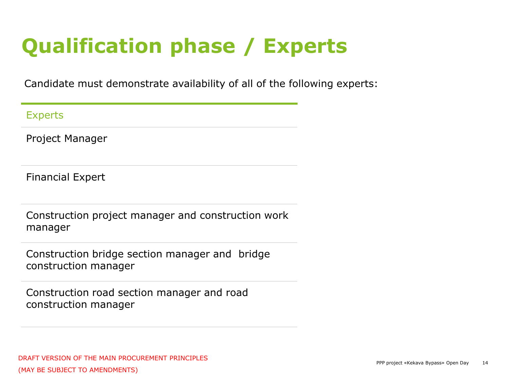## **Qualification phase / Experts**

Candidate must demonstrate availability of all of the following experts:

Experts

Project Manager

Financial Expert

Construction project manager and construction work manager

Construction bridge section manager and bridge construction manager

Construction road section manager and road construction manager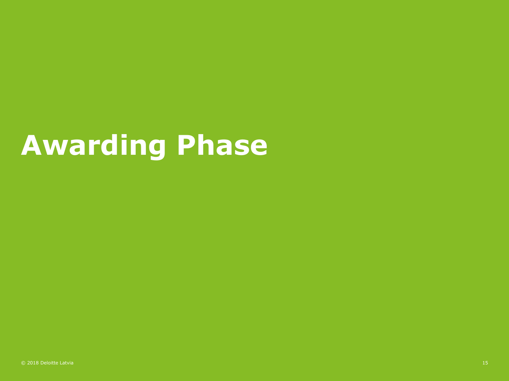# **Awarding Phase**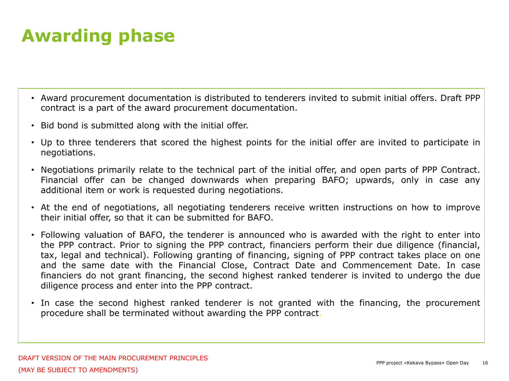## **Awarding phase**

- Award procurement documentation is distributed to tenderers invited to submit initial offers. Draft PPP contract is a part of the award procurement documentation.
- Bid bond is submitted along with the initial offer.
- Up to three tenderers that scored the highest points for the initial offer are invited to participate in negotiations.
- Negotiations primarily relate to the technical part of the initial offer, and open parts of PPP Contract. Financial offer can be changed downwards when preparing BAFO; upwards, only in case any additional item or work is requested during negotiations.
- At the end of negotiations, all negotiating tenderers receive written instructions on how to improve their initial offer, so that it can be submitted for BAFO.
- Following valuation of BAFO, the tenderer is announced who is awarded with the right to enter into the PPP contract. Prior to signing the PPP contract, financiers perform their due diligence (financial, tax, legal and technical). Following granting of financing, signing of PPP contract takes place on one and the same date with the Financial Close, Contract Date and Commencement Date. In case financiers do not grant financing, the second highest ranked tenderer is invited to undergo the due diligence process and enter into the PPP contract.
- In case the second highest ranked tenderer is not granted with the financing, the procurement procedure shall be terminated without awarding the PPP contract.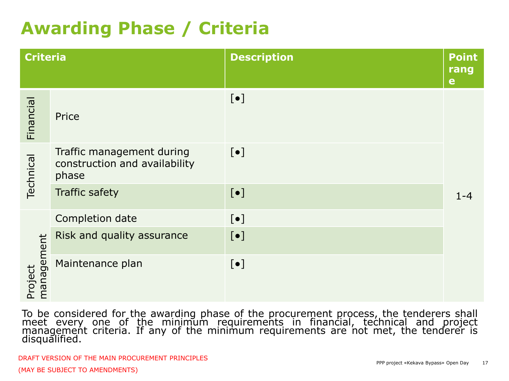## **Awarding Phase / Criteria**

| <b>Criteria</b>       |                                                                     | <b>Description</b> |         |
|-----------------------|---------------------------------------------------------------------|--------------------|---------|
| Financial             | Price                                                               | $[\bullet]$        |         |
| Technical             | Traffic management during<br>construction and availability<br>phase | $[\bullet]$        |         |
|                       | <b>Traffic safety</b>                                               | $[\bullet]$        | $1 - 4$ |
| management<br>Project | Completion date                                                     | $[\bullet]$        |         |
|                       | Risk and quality assurance                                          | $[\bullet]$        |         |
|                       | Maintenance plan                                                    | $[\bullet]$        |         |

To be considered for the awarding phase of the procurement process, the tenderers shall meet every one of the minimum requirements in financial, technical and project management criteria. If any of the minimum requirements are not met, the tenderer is disqualified.

DRAFT VERSION OF THE MAIN PROCUREMENT PRINCIPLES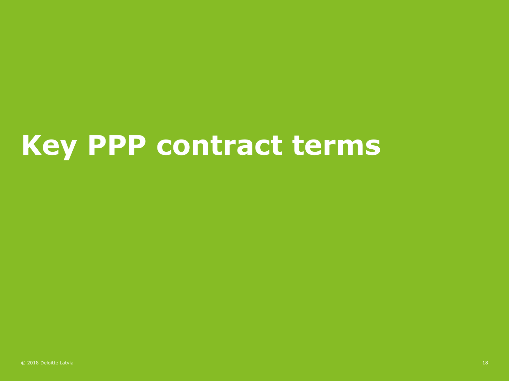# **Key PPP contract terms**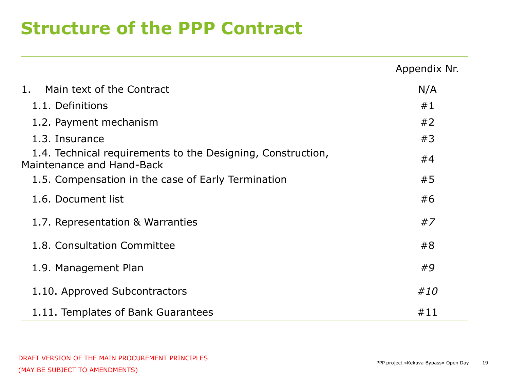### **Structure of the PPP Contract**

|                                                                                          | Appendix Nr. |
|------------------------------------------------------------------------------------------|--------------|
| Main text of the Contract<br>1.                                                          | N/A          |
| 1.1. Definitions                                                                         | #1           |
| 1.2. Payment mechanism                                                                   | #2           |
| 1.3. Insurance                                                                           | #3           |
| 1.4. Technical requirements to the Designing, Construction,<br>Maintenance and Hand-Back | #4           |
| 1.5. Compensation in the case of Early Termination                                       | #5           |
| 1.6. Document list                                                                       | #6           |
| 1.7. Representation & Warranties                                                         | #7           |
| 1.8. Consultation Committee                                                              | #8           |
| 1.9. Management Plan                                                                     | #9           |
| 1.10. Approved Subcontractors                                                            | #10          |
| 1.11. Templates of Bank Guarantees                                                       | #11          |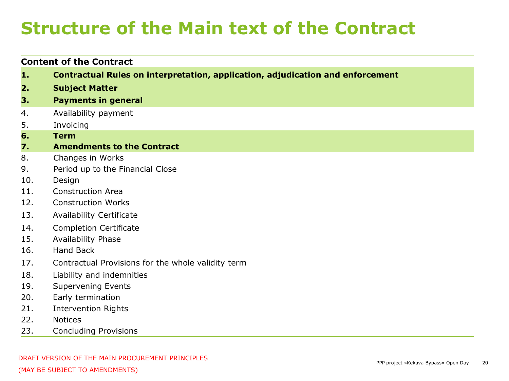## **Structure of the Main text of the Contract**

#### **Content of the Contract**

- **1. Contractual Rules on interpretation, application, adjudication and enforcement**
- **2. Subject Matter**
- **3. Payments in general**
- 4. Availability payment
- 5. Invoicing
- **6. Term**

#### **7. Amendments to the Contract**

- 8. Changes in Works
- 9. Period up to the Financial Close
- 10. Design
- 11. Construction Area
- 12. Construction Works
- 13. Availability Certificate
- 14. Completion Certificate
- 15. Availability Phase
- 16. Hand Back
- 17. Contractual Provisions for the whole validity term
- 18. Liability and indemnities
- 19. Supervening Events
- 20. Early termination
- 21. Intervention Rights
- 22. Notices
- 23. Concluding Provisions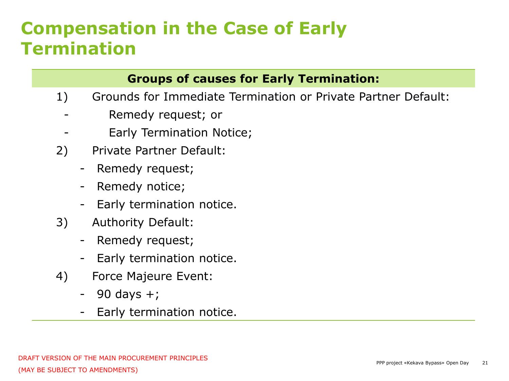## **Compensation in the Case of Early Termination**

#### **Groups of causes for Early Termination:**

- 1) Grounds for Immediate Termination or Private Partner Default:
	- Remedy request; or
	- Early Termination Notice;
- 2) Private Partner Default:
	- Remedy request;
	- Remedy notice;
	- Early termination notice.
- 3) Authority Default:
	- Remedy request;
	- Early termination notice.
- 4) Force Majeure Event:
	- $-$  90 days  $+$ ;
	- Early termination notice.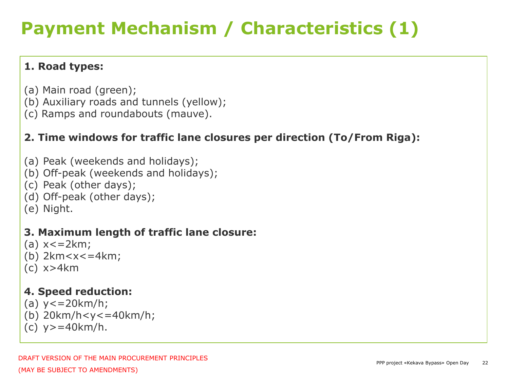## **Payment Mechanism / Characteristics (1)**

#### **1. Road types:**

- (a) Main road (green);
- (b) Auxiliary roads and tunnels (yellow);
- (c) Ramps and roundabouts (mauve).

#### **2. Time windows for traffic lane closures per direction (To/From Riga):**

- (a) Peak (weekends and holidays);
- (b) Off-peak (weekends and holidays);
- (c) Peak (other days);
- (d) Off-peak (other days);
- (e) Night.

#### **3. Maximum length of traffic lane closure:**

- $(a) x < 2km;$
- (b)  $2km < x < = 4km$ ;
- (c) x>4km

#### **4. Speed reduction:**

- (a)  $y \leq 20$  km/h;
- (b) 20km/h<y<=40km/h;
- (c) y>=40km/h.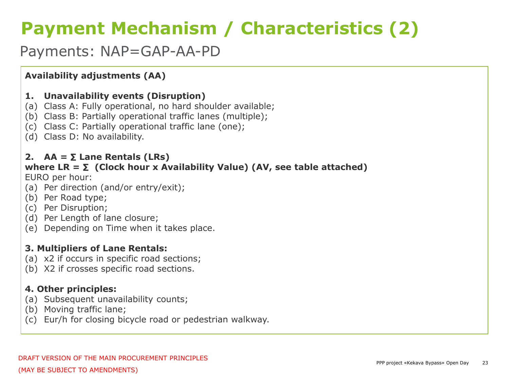## **Payment Mechanism / Characteristics (2)**

#### Payments: NAP=GAP-AA-PD

#### **Availability adjustments (AA)**

#### **1. Unavailability events (Disruption)**

- (a) Class A: Fully operational, no hard shoulder available;
- (b) Class B: Partially operational traffic lanes (multiple);
- (c) Class C: Partially operational traffic lane (one);
- (d) Class D: No availability.

#### 2.  $AA = \Sigma$  Lane Rentals (LRs)

#### where  $LR = \Sigma$  (Clock hour x Availability Value) (AV, see table attached)

EURO per hour:

- (a) Per direction (and/or entry/exit);
- (b) Per Road type;
- (c) Per Disruption;
- (d) Per Length of lane closure;
- (e) Depending on Time when it takes place.

#### **3. Multipliers of Lane Rentals:**

- (a) x2 if occurs in specific road sections;
- (b) X2 if crosses specific road sections.

#### **4. Other principles:**

- (a) Subsequent unavailability counts;
- (b) Moving traffic lane;
- (c) Eur/h for closing bicycle road or pedestrian walkway.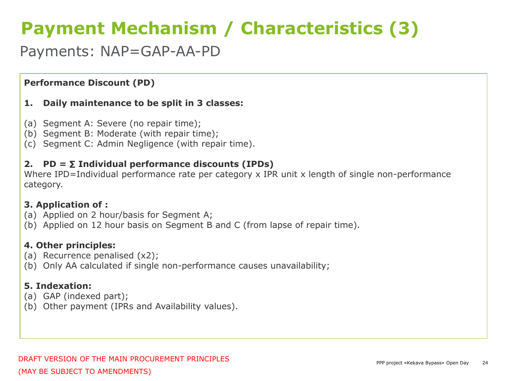## **Payment Mechanism / Characteristics (3)**

#### Payments: NAP=GAP-AA-PD

#### **Performance Discount (PD)**

#### **1. Daily maintenance to be split in 3 classes:**

- (a) Segment A: Severe (no repair time);
- (b) Segment B: Moderate (with repair time);
- (c) Segment C: Admin Negligence (with repair time).

#### 2.  $PD = \Sigma$  Individual performance discounts (IPDs)

Where IPD=Individual performance rate per category x IPR unit x length of single non-performance category.

#### **3. Application of :**

- (a) Applied on 2 hour/basis for Segment A;
- (b) Applied on 12 hour basis on Segment B and C (from lapse of repair time).

#### **4. Other principles:**

- (a) Recurrence penalised (x2);
- (b) Only AA calculated if single non-performance causes unavailability;

#### **5. Indexation:**

- (a) GAP (indexed part);
- (b) Other payment (IPRs and Availability values).